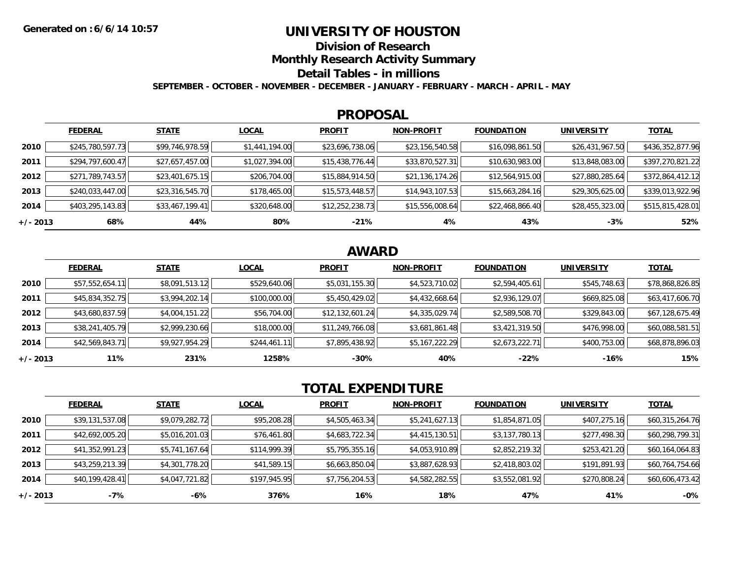## **UNIVERSITY OF HOUSTON**

**Division of Research**

**Monthly Research Activity Summary**

**Detail Tables - in millions**

**SEPTEMBER - OCTOBER - NOVEMBER - DECEMBER - JANUARY - FEBRUARY - MARCH - APRIL - MAY**

#### **PROPOSAL**

|            | <b>FEDERAL</b>   | <b>STATE</b>    | <b>LOCAL</b>   | <b>PROFIT</b>   | <b>NON-PROFIT</b> | <b>FOUNDATION</b> | <b>UNIVERSITY</b> | <u>TOTAL</u>     |
|------------|------------------|-----------------|----------------|-----------------|-------------------|-------------------|-------------------|------------------|
| 2010       | \$245,780,597.73 | \$99,746,978.59 | \$1,441,194.00 | \$23,696,738.06 | \$23,156,540.58   | \$16,098,861.50   | \$26,431,967.50   | \$436,352,877.96 |
| 2011       | \$294,797,600.47 | \$27,657,457.00 | \$1,027,394.00 | \$15,438,776.44 | \$33,870,527.31   | \$10,630,983.00   | \$13,848,083.00   | \$397,270,821.22 |
| 2012       | \$271,789,743.57 | \$23,401,675.15 | \$206,704.00   | \$15,884,914.50 | \$21,136,174.26   | \$12,564,915.00   | \$27,880,285.64   | \$372,864,412.12 |
| 2013       | \$240,033,447.00 | \$23,316,545.70 | \$178,465.00   | \$15,573,448.57 | \$14,943,107.53   | \$15,663,284.16   | \$29,305,625.00   | \$339,013,922.96 |
| 2014       | \$403,295,143.83 | \$33,467,199.41 | \$320,648.00   | \$12,252,238.73 | \$15,556,008.64   | \$22,468,866.40   | \$28,455,323.00   | \$515,815,428.01 |
| $+/- 2013$ | 68%              | 44%             | 80%            | $-21%$          | 4%                | 43%               | $-3%$             | 52%              |

# **AWARD**

|            | <b>FEDERAL</b>  | <b>STATE</b>   | <b>LOCAL</b> | <b>PROFIT</b>   | <b>NON-PROFIT</b> | <b>FOUNDATION</b> | <b>UNIVERSITY</b> | <b>TOTAL</b>    |
|------------|-----------------|----------------|--------------|-----------------|-------------------|-------------------|-------------------|-----------------|
| 2010       | \$57,552,654.11 | \$8,091,513.12 | \$529,640.06 | \$5,031,155.30  | \$4,523,710.02    | \$2,594,405.61    | \$545,748.63      | \$78,868,826.85 |
| 2011       | \$45,834,352.75 | \$3,994,202.14 | \$100,000.00 | \$5,450,429.02  | \$4,432,668.64    | \$2,936,129.07    | \$669,825.08      | \$63,417,606.70 |
| 2012       | \$43,680,837.59 | \$4,004,151.22 | \$56,704.00  | \$12,132,601.24 | \$4,335,029.74    | \$2,589,508.70    | \$329,843.00      | \$67,128,675.49 |
| 2013       | \$38,241,405.79 | \$2,999,230.66 | \$18,000.00  | \$11,249,766.08 | \$3,681,861.48    | \$3,421,319.50    | \$476,998.00      | \$60,088,581.51 |
| 2014       | \$42,569,843.71 | \$9,927,954.29 | \$244,461.11 | \$7,895,438.92  | \$5,167,222.29    | \$2,673,222.71    | \$400,753.00      | \$68,878,896.03 |
| $+/- 2013$ | 11%             | 231%           | 1258%        | $-30%$          | 40%               | $-22%$            | -16%              | 15%             |

# **TOTAL EXPENDITURE**

|            | <b>FEDERAL</b>  | <b>STATE</b>   | <b>LOCAL</b> | <b>PROFIT</b>  | <b>NON-PROFIT</b> | <b>FOUNDATION</b> | <b>UNIVERSITY</b> | <b>TOTAL</b>    |
|------------|-----------------|----------------|--------------|----------------|-------------------|-------------------|-------------------|-----------------|
| 2010       | \$39,131,537.08 | \$9,079,282.72 | \$95,208.28  | \$4,505,463.34 | \$5,241,627.13    | \$1,854,871.05    | \$407,275.16      | \$60,315,264.76 |
| 2011       | \$42,692,005.20 | \$5,016,201.03 | \$76,461.80  | \$4,683,722.34 | \$4,415,130.51    | \$3,137,780.13    | \$277,498.30      | \$60,298,799.31 |
| 2012       | \$41,352,991.23 | \$5,741,167.64 | \$114,999.39 | \$5,795,355.16 | \$4,053,910.89    | \$2,852,219.32    | \$253,421.20      | \$60,164,064.83 |
| 2013       | \$43,259,213.39 | \$4,301,778.20 | \$41,589.15  | \$6,663,850.04 | \$3,887,628.93    | \$2,418,803.02    | \$191,891.93      | \$60,764,754.66 |
| 2014       | \$40,199,428.41 | \$4,047,721.82 | \$197,945.95 | \$7,756,204.53 | \$4,582,282.55    | \$3,552,081.92    | \$270,808.24      | \$60,606,473.42 |
| $+/- 2013$ | $-7%$           | -6%            | 376%         | 16%            | 18%               | 47%               | 41%               | $-0\%$          |